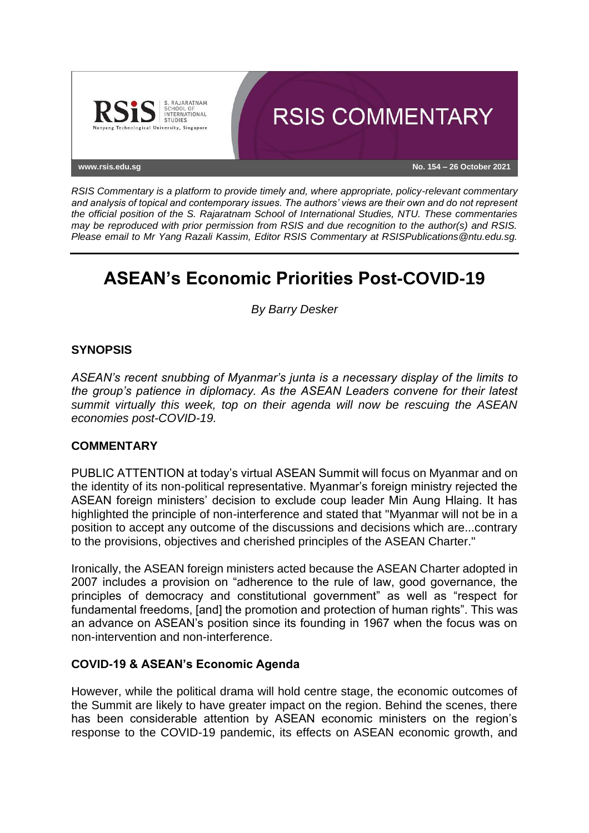

*RSIS Commentary is a platform to provide timely and, where appropriate, policy-relevant commentary and analysis of topical and contemporary issues. The authors' views are their own and do not represent the official position of the S. Rajaratnam School of International Studies, NTU. These commentaries may be reproduced with prior permission from RSIS and due recognition to the author(s) and RSIS. Please email to Mr Yang Razali Kassim, Editor RSIS Commentary at RSISPublications@ntu.edu.sg.*

# **ASEAN's Economic Priorities Post-COVID-19**

*By Barry Desker*

## **SYNOPSIS**

*ASEAN's recent snubbing of Myanmar's junta is a necessary display of the limits to the group's patience in diplomacy. As the ASEAN Leaders convene for their latest summit virtually this week, top on their agenda will now be rescuing the ASEAN economies post-COVID-19.*

### **COMMENTARY**

PUBLIC ATTENTION at today's virtual ASEAN Summit will focus on Myanmar and on the identity of its non-political representative. Myanmar's foreign ministry rejected the ASEAN foreign ministers' decision to exclude coup leader Min Aung Hlaing. It has highlighted the principle of non-interference and stated that "Myanmar will not be in a position to accept any outcome of the discussions and decisions which are...contrary to the provisions, objectives and cherished principles of the ASEAN Charter."

Ironically, the ASEAN foreign ministers acted because the ASEAN Charter adopted in 2007 includes a provision on "adherence to the rule of law, good governance, the principles of democracy and constitutional government" as well as "respect for fundamental freedoms, [and] the promotion and protection of human rights". This was an advance on ASEAN's position since its founding in 1967 when the focus was on non-intervention and non-interference.

#### **COVID-19 & ASEAN's Economic Agenda**

However, while the political drama will hold centre stage, the economic outcomes of the Summit are likely to have greater impact on the region. Behind the scenes, there has been considerable attention by ASEAN economic ministers on the region's response to the COVID-19 pandemic, its effects on ASEAN economic growth, and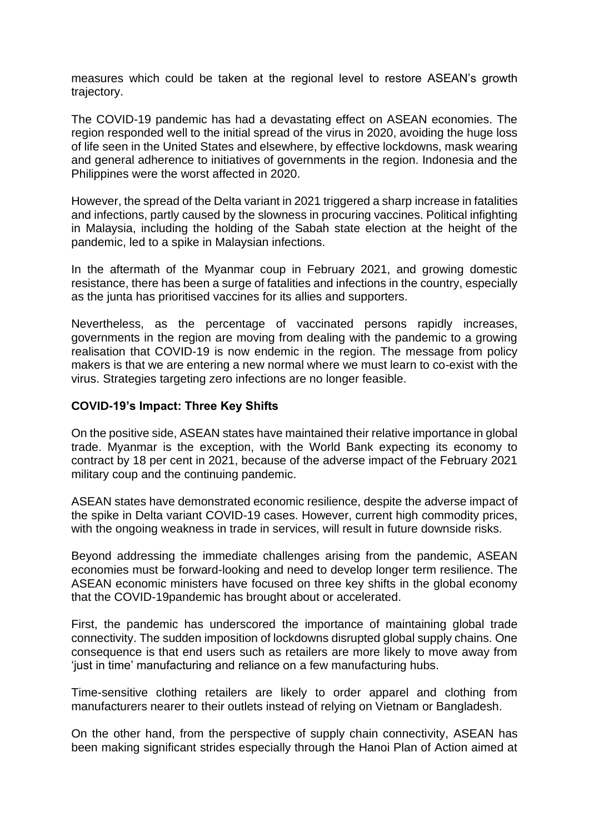measures which could be taken at the regional level to restore ASEAN's growth trajectory.

The COVID-19 pandemic has had a devastating effect on ASEAN economies. The region responded well to the initial spread of the virus in 2020, avoiding the huge loss of life seen in the United States and elsewhere, by effective lockdowns, mask wearing and general adherence to initiatives of governments in the region. Indonesia and the Philippines were the worst affected in 2020.

However, the spread of the Delta variant in 2021 triggered a sharp increase in fatalities and infections, partly caused by the slowness in procuring vaccines. Political infighting in Malaysia, including the holding of the Sabah state election at the height of the pandemic, led to a spike in Malaysian infections.

In the aftermath of the Myanmar coup in February 2021, and growing domestic resistance, there has been a surge of fatalities and infections in the country, especially as the junta has prioritised vaccines for its allies and supporters.

Nevertheless, as the percentage of vaccinated persons rapidly increases, governments in the region are moving from dealing with the pandemic to a growing realisation that COVID-19 is now endemic in the region. The message from policy makers is that we are entering a new normal where we must learn to co-exist with the virus. Strategies targeting zero infections are no longer feasible.

### **COVID-19's Impact: Three Key Shifts**

On the positive side, ASEAN states have maintained their relative importance in global trade. Myanmar is the exception, with the World Bank expecting its economy to contract by 18 per cent in 2021, because of the adverse impact of the February 2021 military coup and the continuing pandemic.

ASEAN states have demonstrated economic resilience, despite the adverse impact of the spike in Delta variant COVID-19 cases. However, current high commodity prices, with the ongoing weakness in trade in services, will result in future downside risks.

Beyond addressing the immediate challenges arising from the pandemic, ASEAN economies must be forward-looking and need to develop longer term resilience. The ASEAN economic ministers have focused on three key shifts in the global economy that the COVID-19pandemic has brought about or accelerated.

First, the pandemic has underscored the importance of maintaining global trade connectivity. The sudden imposition of lockdowns disrupted global supply chains. One consequence is that end users such as retailers are more likely to move away from 'just in time' manufacturing and reliance on a few manufacturing hubs.

Time-sensitive clothing retailers are likely to order apparel and clothing from manufacturers nearer to their outlets instead of relying on Vietnam or Bangladesh.

On the other hand, from the perspective of supply chain connectivity, ASEAN has been making significant strides especially through the Hanoi Plan of Action aimed at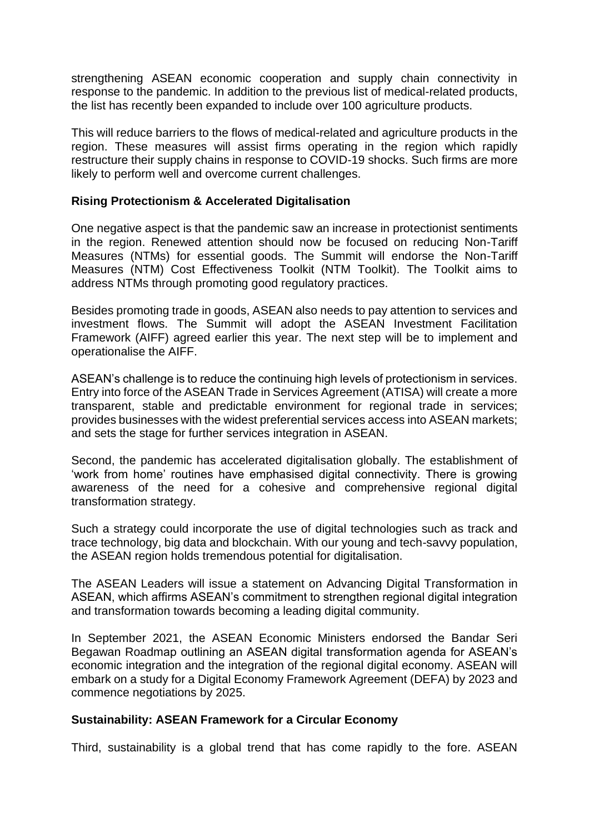strengthening ASEAN economic cooperation and supply chain connectivity in response to the pandemic. In addition to the previous list of medical-related products, the list has recently been expanded to include over 100 agriculture products.

This will reduce barriers to the flows of medical-related and agriculture products in the region. These measures will assist firms operating in the region which rapidly restructure their supply chains in response to COVID-19 shocks. Such firms are more likely to perform well and overcome current challenges.

### **Rising Protectionism & Accelerated Digitalisation**

One negative aspect is that the pandemic saw an increase in protectionist sentiments in the region. Renewed attention should now be focused on reducing Non-Tariff Measures (NTMs) for essential goods. The Summit will endorse the Non-Tariff Measures (NTM) Cost Effectiveness Toolkit (NTM Toolkit). The Toolkit aims to address NTMs through promoting good regulatory practices.

Besides promoting trade in goods, ASEAN also needs to pay attention to services and investment flows. The Summit will adopt the ASEAN Investment Facilitation Framework (AIFF) agreed earlier this year. The next step will be to implement and operationalise the AIFF.

ASEAN's challenge is to reduce the continuing high levels of protectionism in services. Entry into force of the ASEAN Trade in Services Agreement (ATISA) will create a more transparent, stable and predictable environment for regional trade in services; provides businesses with the widest preferential services access into ASEAN markets; and sets the stage for further services integration in ASEAN.

Second, the pandemic has accelerated digitalisation globally. The establishment of 'work from home' routines have emphasised digital connectivity. There is growing awareness of the need for a cohesive and comprehensive regional digital transformation strategy.

Such a strategy could incorporate the use of digital technologies such as track and trace technology, big data and blockchain. With our young and tech-savvy population, the ASEAN region holds tremendous potential for digitalisation.

The ASEAN Leaders will issue a statement on Advancing Digital Transformation in ASEAN, which affirms ASEAN's commitment to strengthen regional digital integration and transformation towards becoming a leading digital community.

In September 2021, the ASEAN Economic Ministers endorsed the Bandar Seri Begawan Roadmap outlining an ASEAN digital transformation agenda for ASEAN's economic integration and the integration of the regional digital economy. ASEAN will embark on a study for a Digital Economy Framework Agreement (DEFA) by 2023 and commence negotiations by 2025.

### **Sustainability: ASEAN Framework for a Circular Economy**

Third, sustainability is a global trend that has come rapidly to the fore. ASEAN